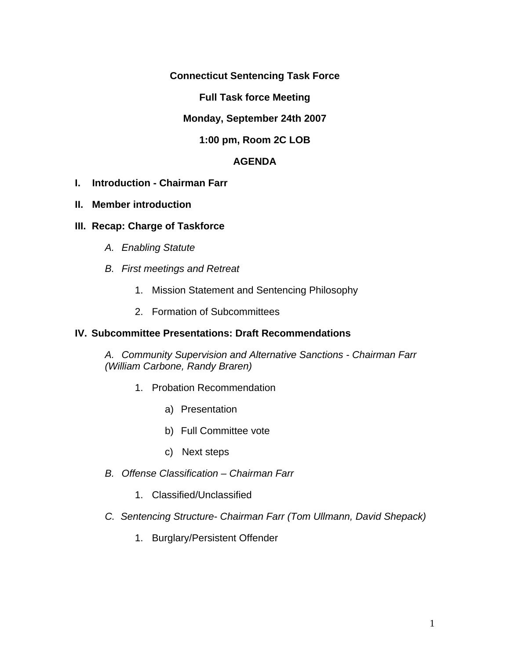**Connecticut Sentencing Task Force** 

**Full Task force Meeting** 

**Monday, September 24th 2007** 

**1:00 pm, Room 2C LOB**

# **AGENDA**

- **I. Introduction Chairman Farr**
- **II. Member introduction**

## **III. Recap: Charge of Taskforce**

- *A. Enabling Statute*
- *B. First meetings and Retreat* 
	- 1. Mission Statement and Sentencing Philosophy
	- 2. Formation of Subcommittees

## **IV. Subcommittee Presentations: Draft Recommendations**

*A. Community Supervision and Alternative Sanctions - Chairman Farr (William Carbone, Randy Braren)*

- 1. Probation Recommendation
	- a) Presentation
	- b) Full Committee vote
	- c) Next steps
- *B. Offense Classification Chairman Farr*
	- 1. Classified/Unclassified
- *C. Sentencing Structure- Chairman Farr (Tom Ullmann, David Shepack)*
	- 1. Burglary/Persistent Offender